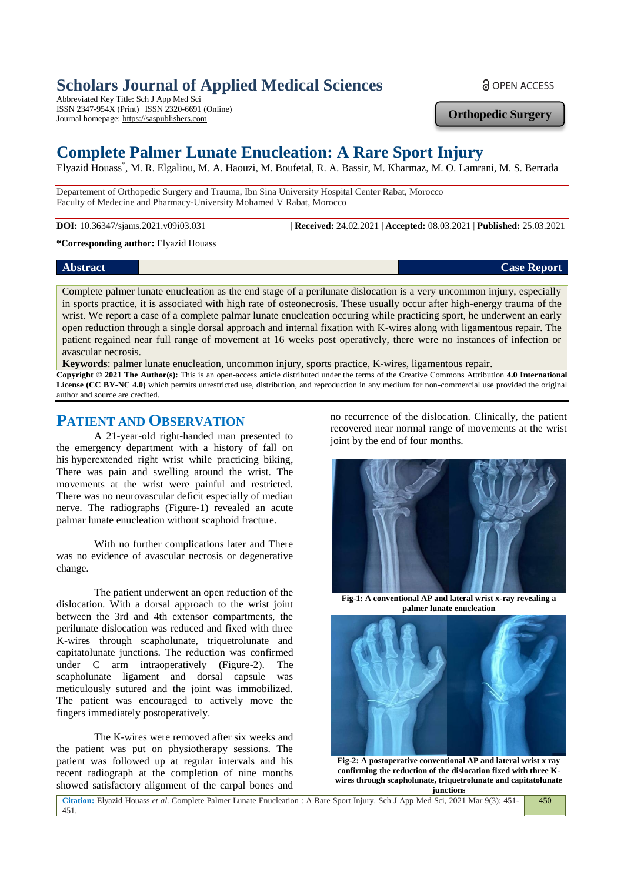# **Scholars Journal of Applied Medical Sciences**

Abbreviated Key Title: Sch J App Med Sci ISSN 2347-954X (Print) | ISSN 2320-6691 (Online) Journal homepage: https://saspublishers.com

**Orthopedic Surgery**

**a** OPEN ACCESS

# **Complete Palmer Lunate Enucleation: A Rare Sport Injury**

Elyazid Houass\* , M. R. Elgaliou, M. A. Haouzi, M. Boufetal, R. A. Bassir, M. Kharmaz, M. O. Lamrani, M. S. Berrada

Departement of Orthopedic Surgery and Trauma, Ibn Sina University Hospital Center Rabat, Morocco Faculty of Medecine and Pharmacy-University Mohamed V Rabat, Morocco

**DOI:** 10.36347/sjams.2021.v09i03.031 | **Received:** 24.02.2021 | **Accepted:** 08.03.2021 | **Published:** 25.03.2021

**\*Corresponding author:** Elyazid Houass

#### *Abstract* **Case Report Case Report**

Complete palmer lunate enucleation as the end stage of a perilunate dislocation is a very uncommon injury, especially in sports practice, it is associated with high rate of osteonecrosis. These usually occur after high-energy trauma of the wrist. We report a case of a complete palmar lunate enucleation occuring while practicing sport, he underwent an early open reduction through a single dorsal approach and internal fixation with K-wires along with ligamentous repair. The patient regained near full range of movement at 16 weeks post operatively, there were no instances of infection or avascular necrosis.

**Keywords**: palmer lunate enucleation, uncommon injury, sports practice, K-wires, ligamentous repair.

**Copyright © 2021 The Author(s):** This is an open-access article distributed under the terms of the Creative Commons Attribution **4.0 International License (CC BY-NC 4.0)** which permits unrestricted use, distribution, and reproduction in any medium for non-commercial use provided the original author and source are credited.

### **PATIENT AND OBSERVATION**

A 21-year-old right-handed man presented to the emergency department with a history of fall on his hyperextended right wrist while practicing biking, There was pain and swelling around the wrist. The movements at the wrist were painful and restricted. There was no neurovascular deficit especially of median nerve. The radiographs (Figure[-1\)](https://casesjournal.biomedcentral.com/articles/10.1186/1757-1626-1-239#Fig1) revealed an acute palmar lunate enucleation without scaphoid fracture.

With no further complications later and There was no evidence of avascular necrosis or degenerative change.

The patient underwent an open reduction of the dislocation. With a dorsal approach to the wrist joint between the 3rd and 4th extensor compartments, the perilunate dislocation was reduced and fixed with three K-wires through scapholunate, triquetrolunate and capitatolunate junctions. The reduction was confirmed under C arm intraoperatively (Figure-2). The scapholunate ligament and dorsal capsule was meticulously sutured and the joint was immobilized. The patient was encouraged to actively move the fingers immediately postoperatively.

The K-wires were removed after six weeks and the patient was put on physiotherapy sessions. The patient was followed up at regular intervals and his recent radiograph at the completion of nine months showed satisfactory alignment of the carpal bones and

no recurrence of the dislocation. Clinically, the patient recovered near normal range of movements at the wrist joint by the end of four months.



**Fig-1: A conventional AP and lateral wrist x-ray revealing a palmer lunate enucleation**



**Fig-2: A postoperative conventional AP and lateral wrist x ray confirming the reduction of the dislocation fixed with three Kwires through scapholunate, triquetrolunate and capitatolunate junctions**

**Citation:** Elyazid Houass *et al*. Complete Palmer Lunate Enucleation : A Rare Sport Injury. Sch J App Med Sci, 2021 Mar 9(3): 451- 451. 450